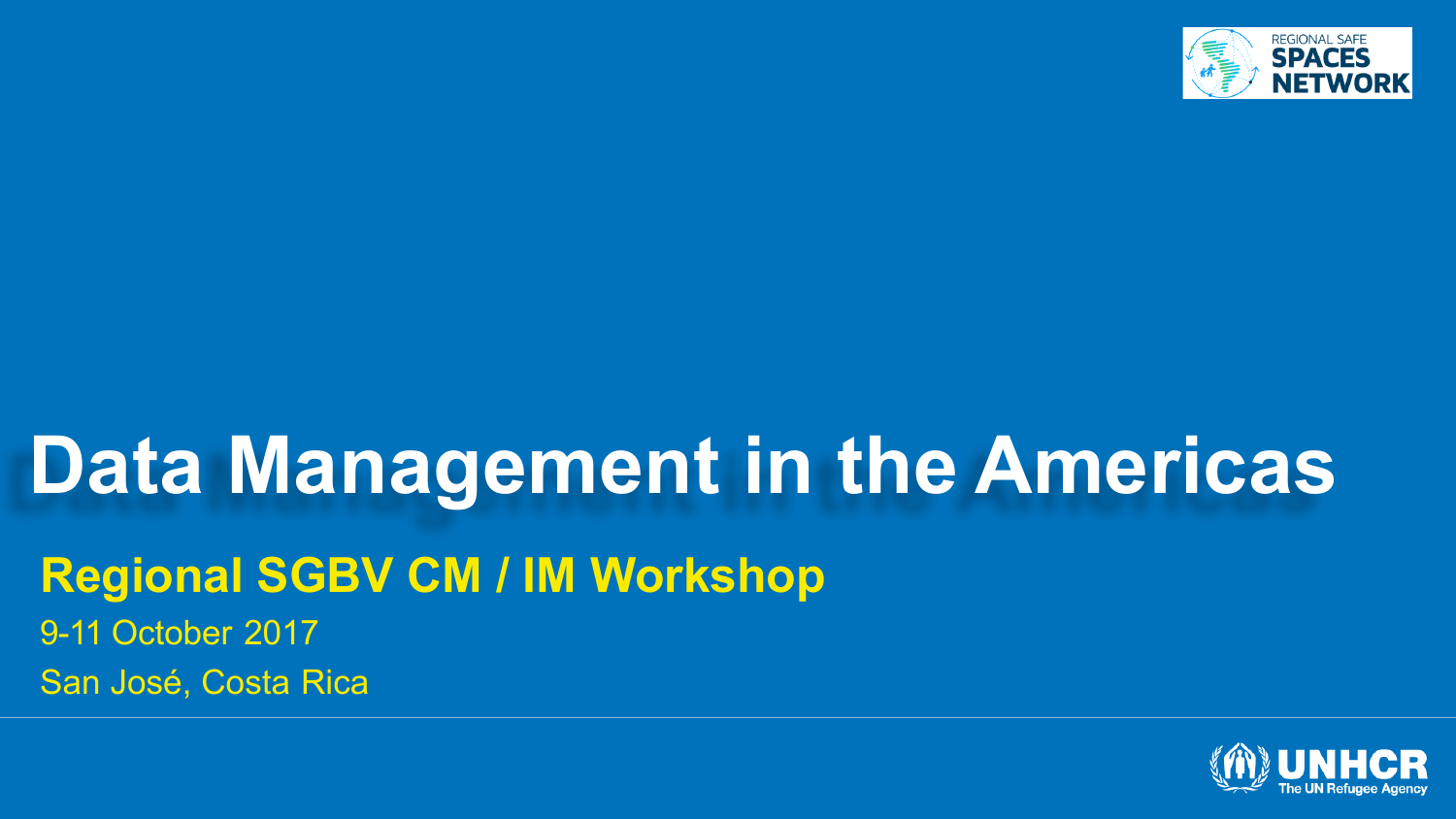

#### **Data Management in the Americas Regional SGBV CM / IM Workshop** 9-11 October 2017 San José, Costa Rica

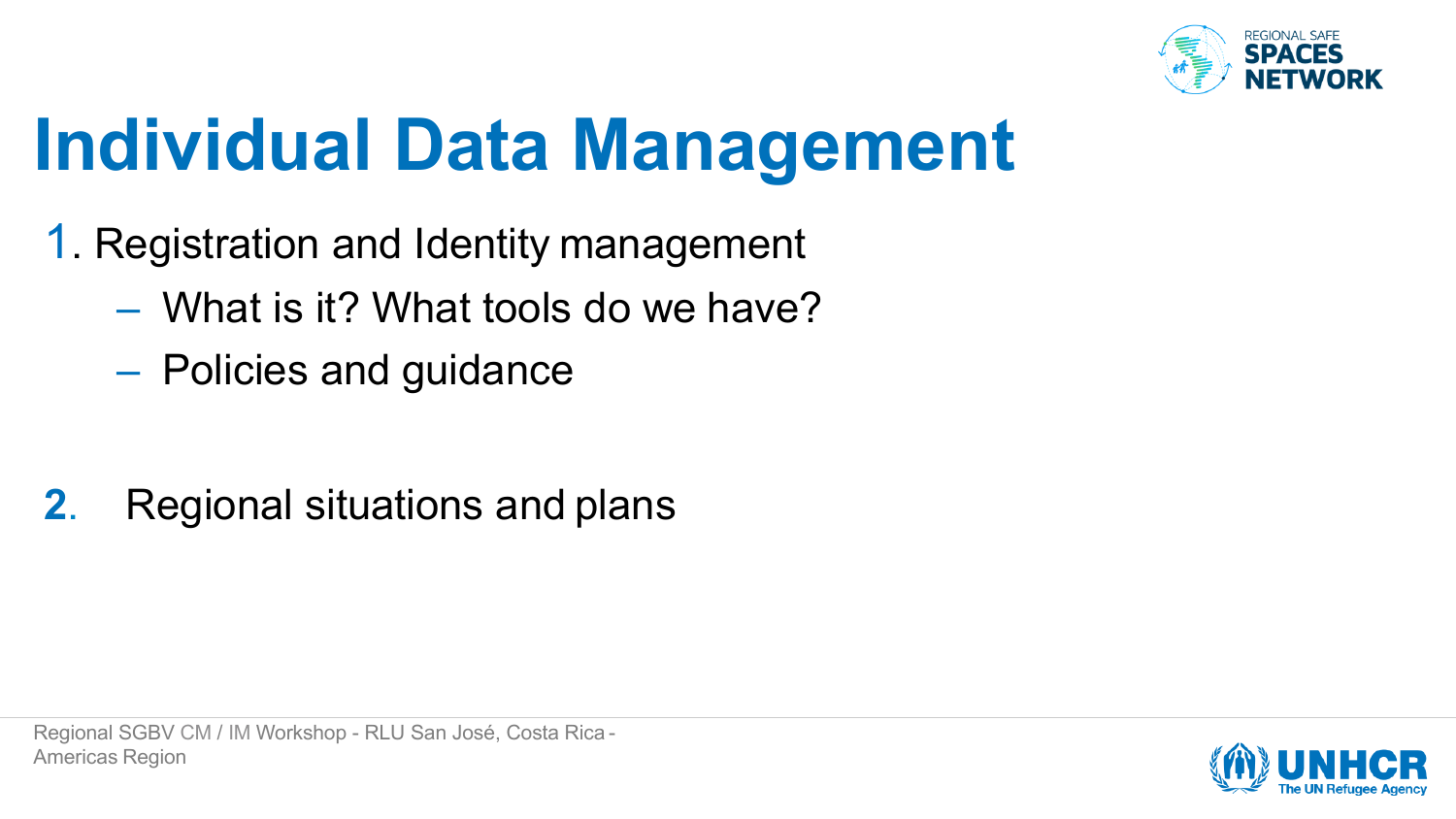

### **Individual Data Management**

- 1. Registration and Identity management
	- What is it? What tools do we have?
	- Policies and guidance

**2**. Regional situations and plans

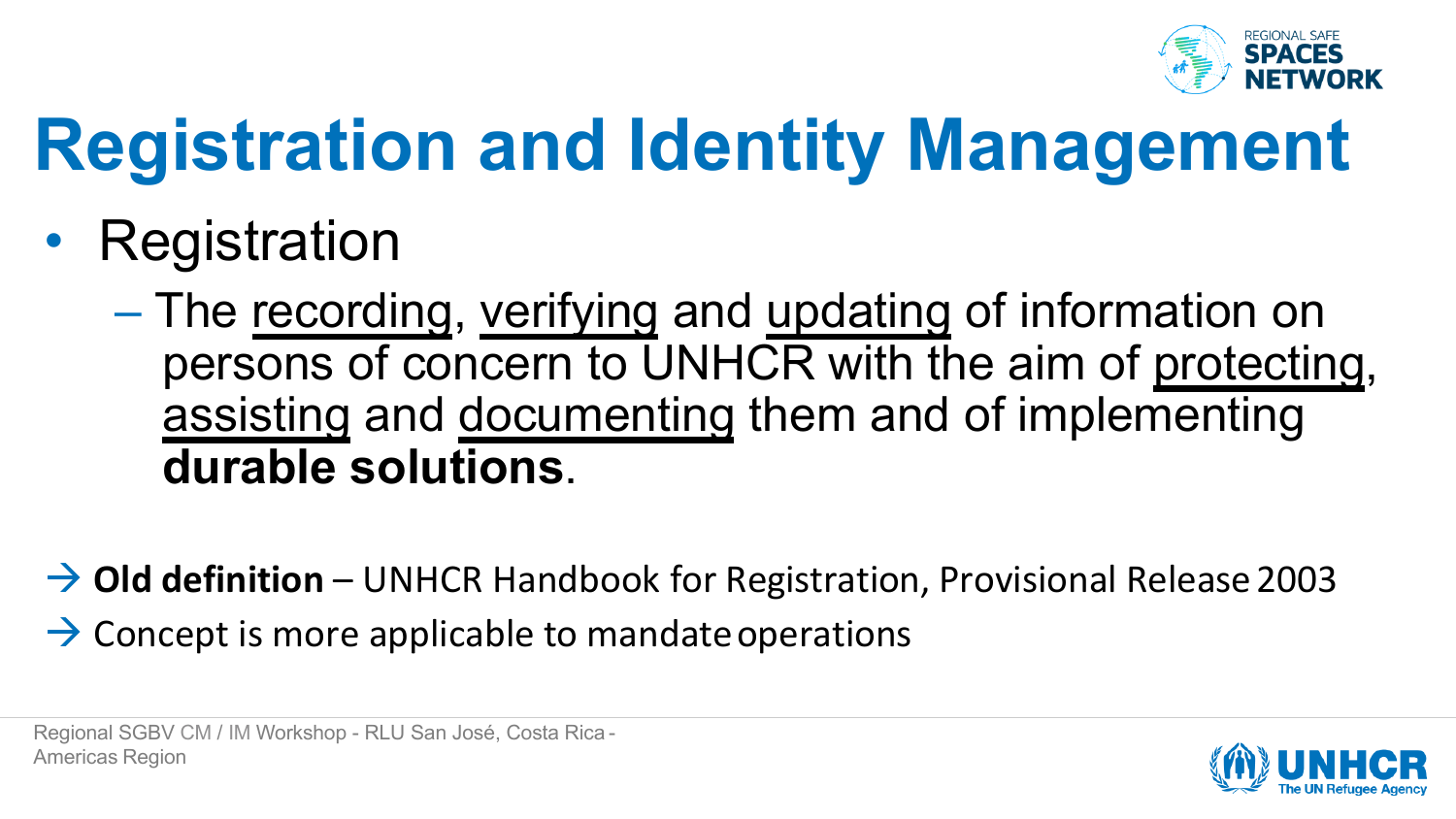

- Registration
	- The recording, verifying and updating of information on persons of concern to UNHCR with the aim of protecting, assisting and documenting them and of implementing **durable solutions**.
- → Old definition UNHCR Handbook for Registration, Provisional Release 2003  $\rightarrow$  Concept is more applicable to mandate operations

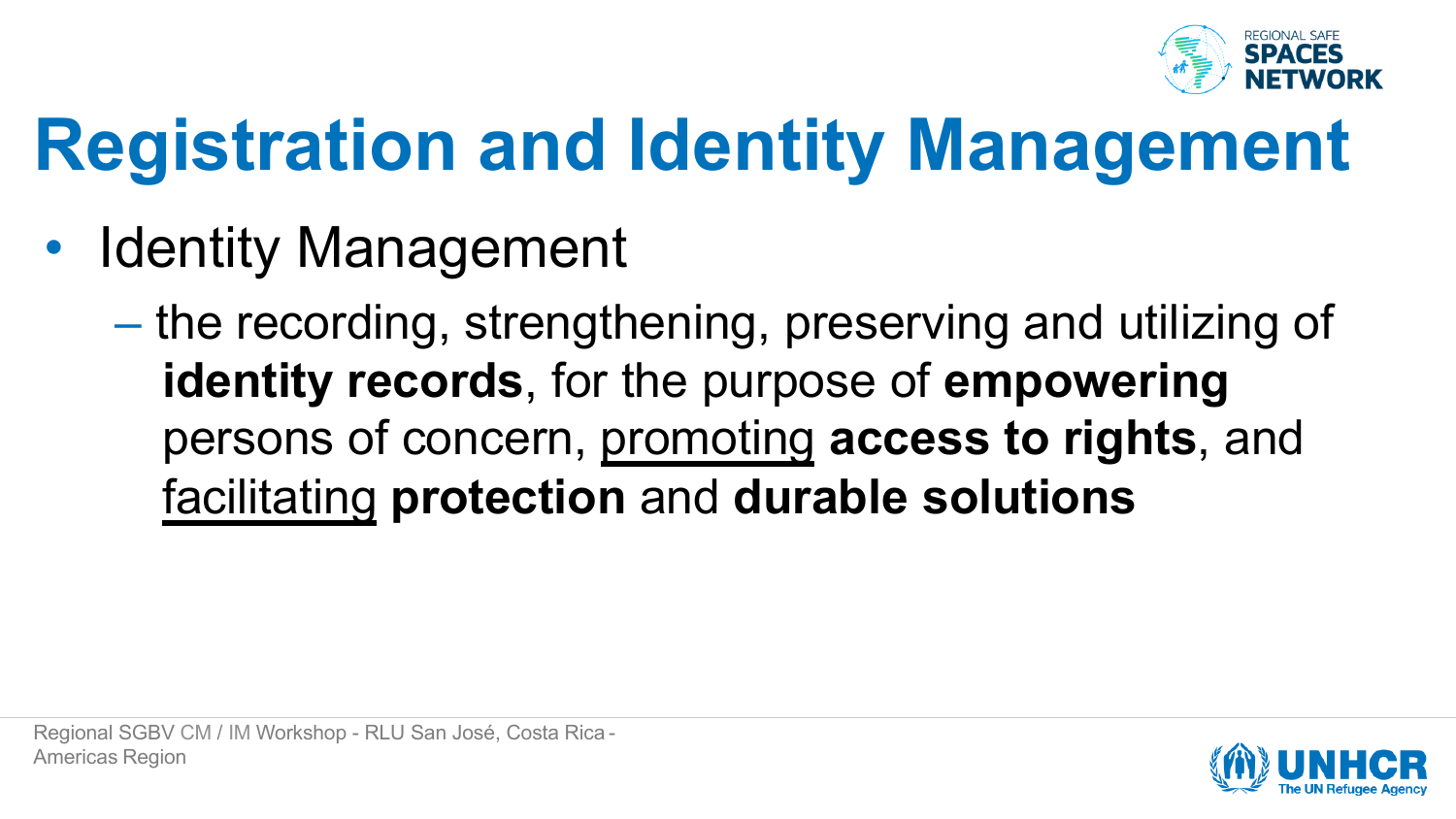

- **Identity Management** 
	- the recording, strengthening, preserving and utilizing of **identity records**, for the purpose of **empowering**  persons of concern, promoting **access to rights**, and facilitating **protection** and **durable solutions**

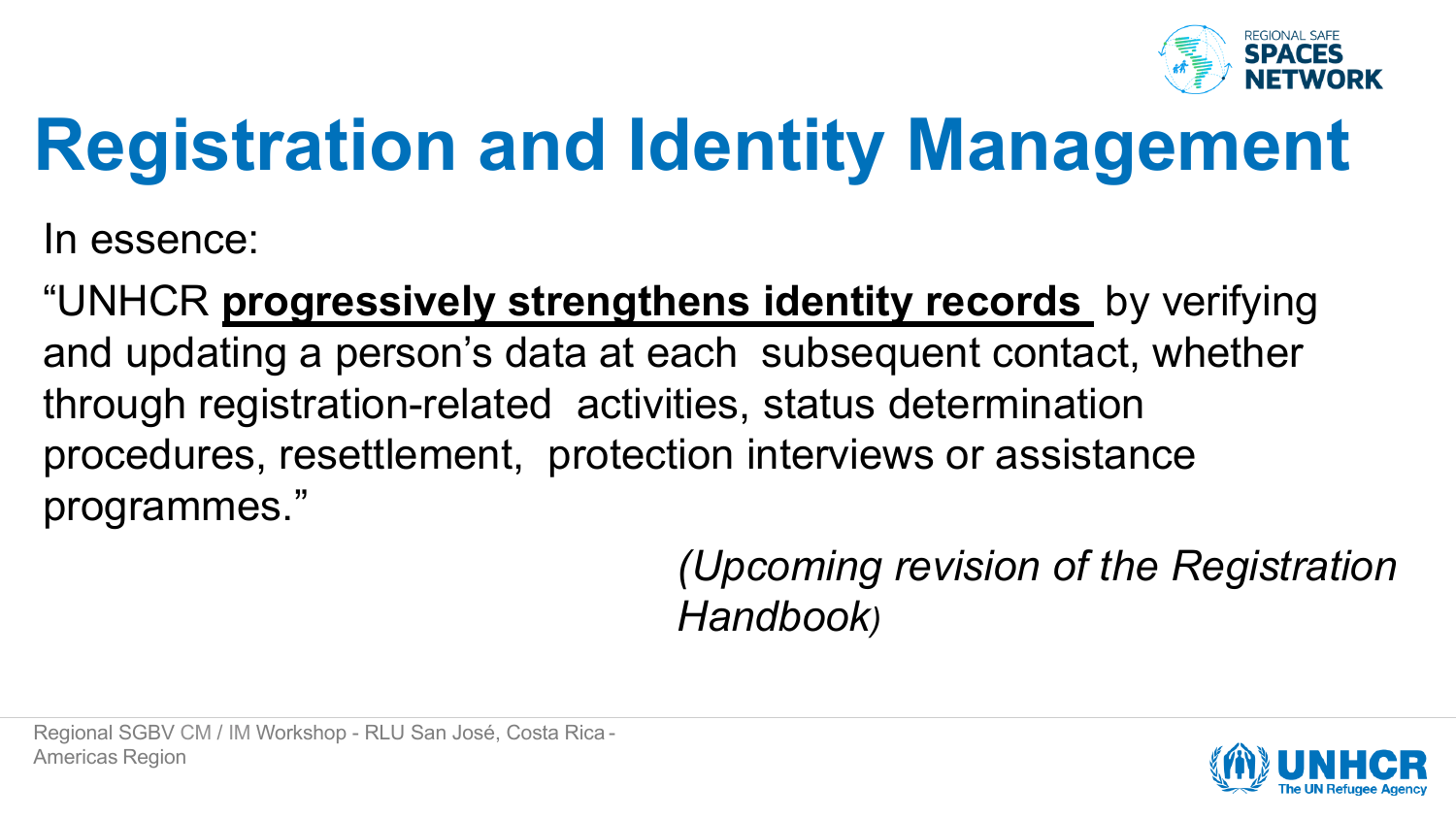

In essence:

"UNHCR **progressively strengthens identity records** by verifying and updating a person's data at each subsequent contact, whether through registration-related activities, status determination procedures, resettlement, protection interviews or assistance programmes."

> *(Upcoming revision of the Registration Handbook)*

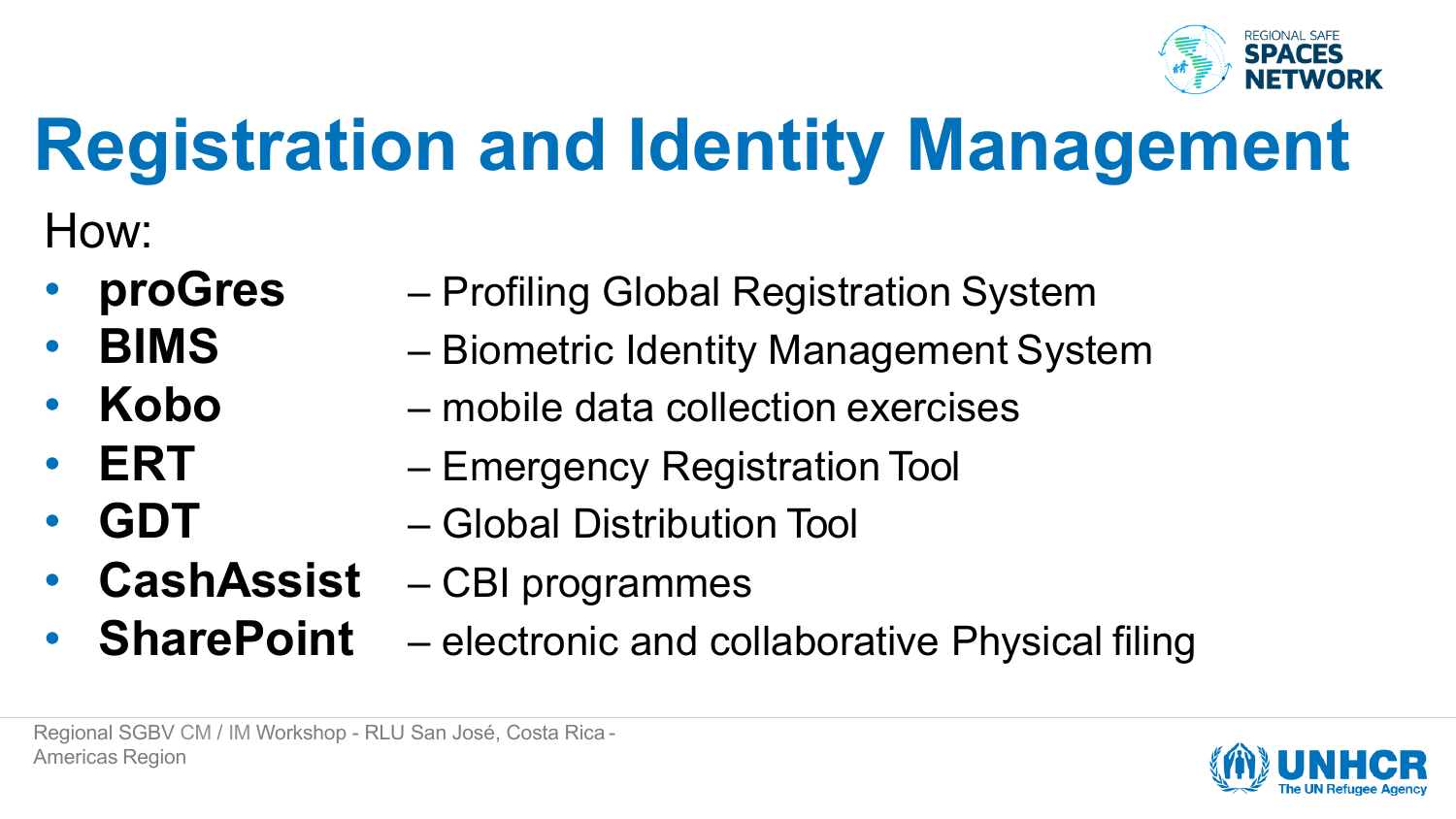

How:

- **proGres**
- **BIMS**
- **Kobo**
- **ERT**
- **GDT**
- **CashAssist**
- **SharePoint**
- Profiling Global Registration System
- Biometric Identity Management System
- mobile data collection exercises
- Emergency Registration Tool
- Global Distribution Tool
- CBI programmes
	- electronic and collaborative Physical filing

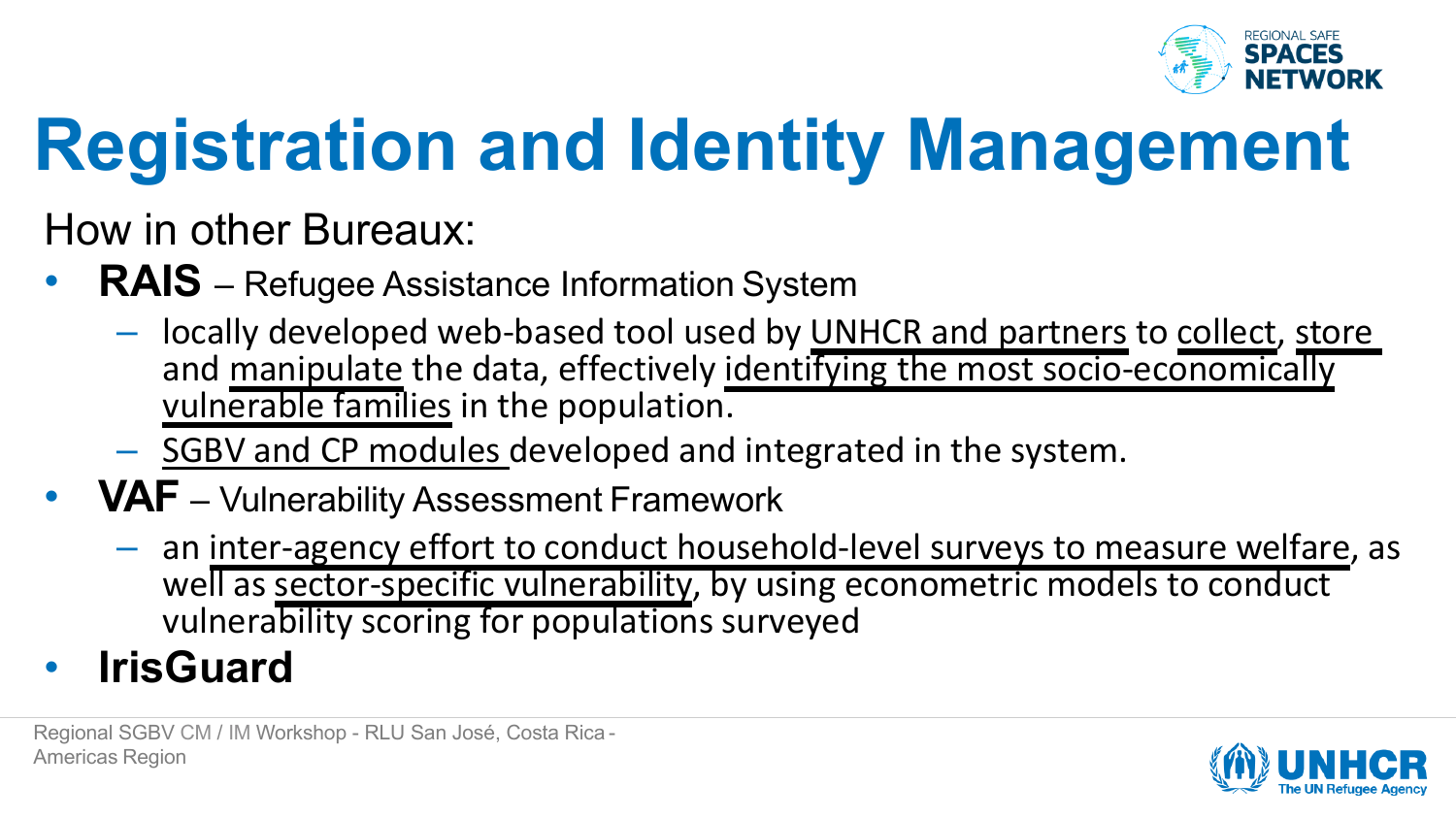

How in other Bureaux:

- **RAIS** Refugee Assistance Information System
	- locally developed web-based tool used by UNHCR and partners to collect, store and manipulate the data, effectively identifying the most socio-economically vulnerable families in the population.
	- SGBV and CP modules developed and integrated in the system.
- **VAF**  Vulnerability Assessment Framework
	- $-$  an inter-agency effort to conduct household-level surveys to measure welfare, as well as sector-specific vulnerability, by using econometric models to conduct vulnerability scoring for populations surveyed
- **IrisGuard**

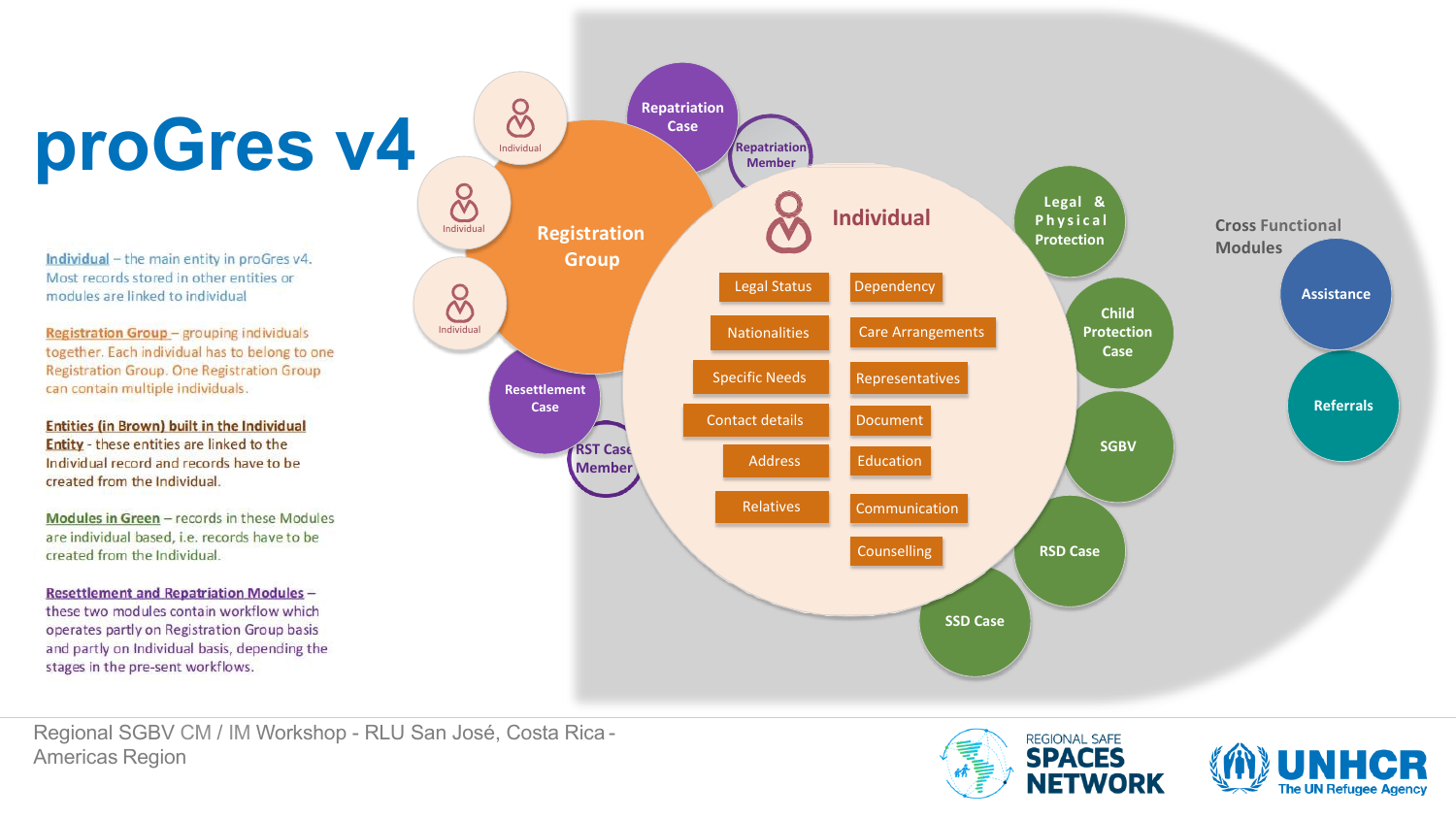Individual - the main entity in proGres v4. Most records stored in other entities or modules are linked to individual

**Registration Group - grouping individuals** together. Each individual has to belong to one Registration Group. One Registration Group can contain multiple individuals.

**Entities (in Brown) built in the Individual Entity** - these entities are linked to the Individual record and records have to be created from the Individual.

Modules in Green - records in these Modules are individual based, i.e. records have to be created from the Individual.

**Resettlement and Repatriation Modules** these two modules contain workflow which operates partly on Registration Group basis and partly on Individual basis, depending the stages in the pre-sent workflows.



Regional SGBV CM / IM Workshop - RLU San José, Costa Rica - Americas Region